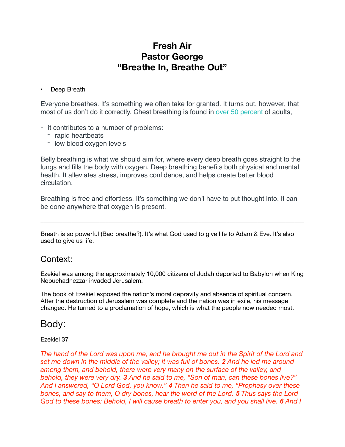### **Fresh Air Pastor George "Breathe In, Breathe Out"**

#### • Deep Breath

Everyone breathes. It's something we often take for granted. It turns out, however, that most of us don't do it correctly. Chest breathing is found in [over 50 percent](https://www.ncbi.nlm.nih.gov/pmc/articles/PMC3924606/) of adults,

- it contributes to a number of problems:
	- rapid heartbeats
	- low blood oxygen levels

Belly breathing is what we should aim for, where every deep breath goes straight to the lungs and fills the body with oxygen. Deep breathing benefits both physical and mental health. It alleviates stress, improves confidence, and helps create better blood circulation.

Breathing is free and effortless. It's something we don't have to put thought into. It can be done anywhere that oxygen is present.

\_\_\_\_\_\_\_\_\_\_\_\_\_\_\_\_\_\_\_\_\_\_\_\_\_\_\_\_\_\_\_\_\_\_\_\_\_\_\_\_\_\_\_\_\_\_\_\_\_\_\_\_\_\_\_\_\_\_\_\_\_\_\_\_\_\_\_\_\_\_\_\_\_\_\_\_\_\_\_\_\_\_\_\_\_

Breath is so powerful (Bad breathe?). It's what God used to give life to Adam & Eve. It's also used to give us life.

### Context:

Ezekiel was among the approximately 10,000 citizens of Judah deported to Babylon when King Nebuchadnezzar invaded Jerusalem.

The book of Ezekiel exposed the nation's moral depravity and absence of spiritual concern. After the destruction of Jerusalem was complete and the nation was in exile, his message changed. He turned to a proclamation of hope, which is what the people now needed most.

### Body:

#### Ezekiel 37

*The hand of the Lord was upon me, and he brought me out in the Spirit of the Lord and set me down in the middle of the valley; it was full of bones. 2 And he led me around*  among them, and behold, there were very many on the surface of the valley, and *behold, they were very dry. 3 And he said to me, "Son of man, can these bones live?" And I answered, "O Lord God, you know." 4 Then he said to me, "Prophesy over these bones, and say to them, O dry bones, hear the word of the Lord. 5 Thus says the Lord God to these bones: Behold, I will cause breath to enter you, and you shall live. 6 And I*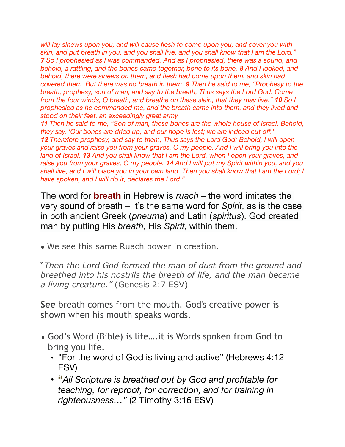*will lay sinews upon you, and will cause flesh to come upon you, and cover you with skin, and put breath in you, and you shall live, and you shall know that I am the Lord." 7 So I prophesied as I was commanded. And as I prophesied, there was a sound, and behold, a rattling, and the bones came together, bone to its bone. 8 And I looked, and behold, there were sinews on them, and flesh had come upon them, and skin had covered them. But there was no breath in them. 9 Then he said to me, "Prophesy to the breath; prophesy, son of man, and say to the breath, Thus says the Lord God: Come from the four winds, O breath, and breathe on these slain, that they may live." 10 So I prophesied as he commanded me, and the breath came into them, and they lived and stood on their feet, an exceedingly great army.* 

*11 Then he said to me, "Son of man, these bones are the whole house of Israel. Behold, they say, 'Our bones are dried up, and our hope is lost; we are indeed cut off.' 12 Therefore prophesy, and say to them, Thus says the Lord God: Behold, I will open your graves and raise you from your graves, O my people. And I will bring you into the land of Israel. 13 And you shall know that I am the Lord, when I open your graves, and raise you from your graves, O my people. 14 And I will put my Spirit within you, and you shall live, and I will place you in your own land. Then you shall know that I am the Lord; I have spoken, and I will do it, declares the Lord."* 

The word for **breath** in Hebrew is *ruach* – the word imitates the very sound of breath – It's the same word for *Spirit*, as is the case in both ancient Greek (*pneuma*) and Latin (*spiritus*). God created man by putting His *breath*, His *Spirit*, within them.

• We see this same Ruach power in creation.

"*Then the Lord God formed the man of dust from the ground and breathed into his nostrils the breath of life, and the man became a living creature."* (Genesis 2:7 ESV)

**See** breath comes from the mouth. God's creative power is shown when his mouth speaks words.

- God's Word (Bible) is life….it is Words spoken from God to bring you life.
	- "For the word of God is living and active" (Hebrews 4:12 ESV)
	- **"***All Scripture is breathed out by God and profitable for teaching, for reproof, for correction, and for training in righteousness…"* (2 Timothy 3:16 ESV)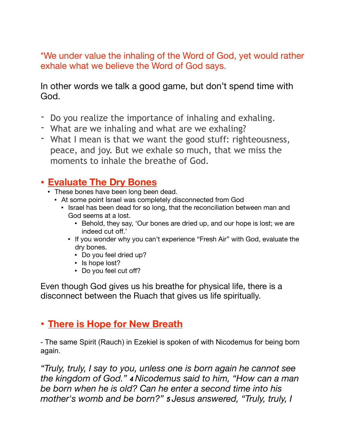\*We under value the inhaling of the Word of God, yet would rather exhale what we believe the Word of God says.

In other words we talk a good game, but don't spend time with God.

- Do you realize the importance of inhaling and exhaling.
- What are we inhaling and what are we exhaling?
- What I mean is that we want the good stuff: righteousness, peace, and joy. But we exhale so much, that we miss the moments to inhale the breathe of God.

## **• Evaluate The Dry Bones**

- These bones have been long been dead.
	- At some point Israel was completely disconnected from God
		- Israel has been dead for so long, that the reconciliation between man and God seems at a lost.
			- Behold, they say, 'Our bones are dried up, and our hope is lost; we are indeed cut off.'
			- If you wonder why you can't experience "Fresh Air" with God, evaluate the dry bones.
				- Do you feel dried up?
				- Is hope lost?
				- Do you feel cut off?

Even though God gives us his breathe for physical life, there is a disconnect between the Ruach that gives us life spiritually.

## **• There is Hope for New Breath**

- The same Spirit (Rauch) in Ezekiel is spoken of with Nicodemus for being born again.

*"Truly, truly, I say to you, unless one is born again he cannot see the kingdom of God." 4 Nicodemus said to him, "How can a man be born when he is old? Can he enter a second time into his mother's womb and be born?" 5 Jesus answered, "Truly, truly, I*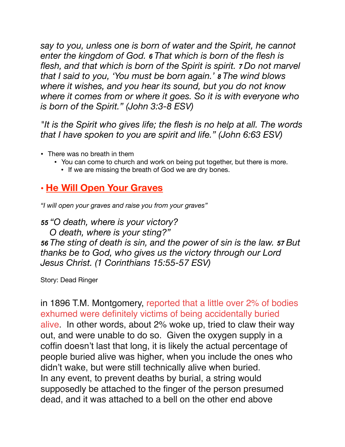*say to you, unless one is born of water and the Spirit, he cannot enter the kingdom of God. 6 That which is born of the flesh is flesh, and that which is born of the Spirit is spirit. 7 Do not marvel that I said to you, 'You must be born again.' 8 The wind blows where it wishes, and you hear its sound, but you do not know where it comes from or where it goes. So it is with everyone who is born of the Spirit." (John 3:3-8 ESV)* 

*"It is the Spirit who gives life; the flesh is no help at all. The words that I have spoken to you are spirit and life." (John 6:63 ESV)* 

- There was no breath in them
	- You can come to church and work on being put together, but there is more.
		- If we are missing the breath of God we are dry bones.

## **• He Will Open Your Graves**

*"I will open your graves and raise you from your graves"* 

*55 "O death, where is your victory?* 

 *O death, where is your sting?" 56 The sting of death is sin, and the power of sin is the law. 57 But thanks be to God, who gives us the victory through our Lord Jesus Christ. (1 Corinthians 15:55-57 ESV)* 

Story: Dead Ringer

[in 1896 T.M. Montgomery, reported that a little over 2% of bodies](http://www.snopes.com/horrors/gruesome/buried.asp)  [exhumed were definitely victims of being accidentally buried](http://www.snopes.com/horrors/gruesome/buried.asp)  [alive.](http://www.snopes.com/horrors/gruesome/buried.asp) In other words, about 2% woke up, tried to claw their way out, and were unable to do so. Given the oxygen supply in a coffin doesn't last that long, it is likely the actual percentage of people buried alive was higher, when you include the ones who didn't wake, but were still technically alive when buried. In any event, to prevent deaths by burial, a string would supposedly be attached to the finger of the person presumed dead, and it was attached to a bell on the other end above